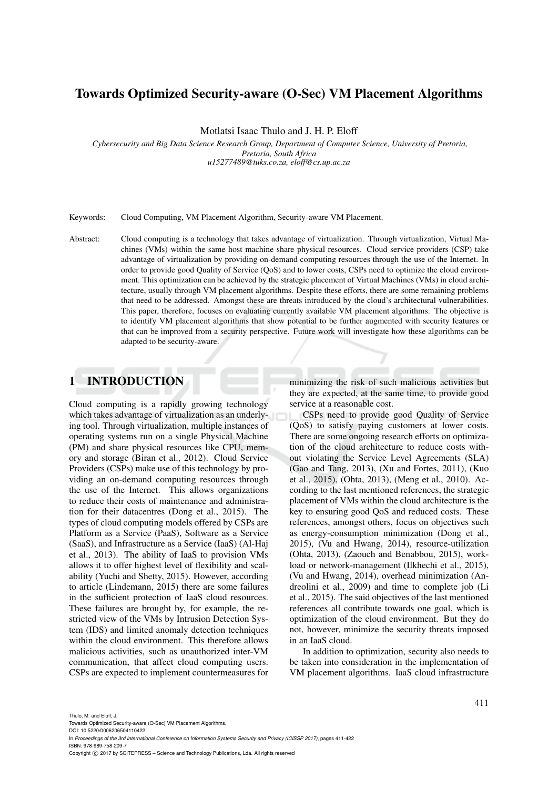# Towards Optimized Security-aware (O-Sec) VM Placement Algorithms

Motlatsi Isaac Thulo and J. H. P. Eloff

*Cybersecurity and Big Data Science Research Group, Department of Computer Science, University of Pretoria, Pretoria, South Africa u15277489@tuks.co.za, eloff@cs.up.ac.za*

Keywords: Cloud Computing, VM Placement Algorithm, Security-aware VM Placement.

Abstract: Cloud computing is a technology that takes advantage of virtualization. Through virtualization, Virtual Machines (VMs) within the same host machine share physical resources. Cloud service providers (CSP) take advantage of virtualization by providing on-demand computing resources through the use of the Internet. In order to provide good Quality of Service (QoS) and to lower costs, CSPs need to optimize the cloud environment. This optimization can be achieved by the strategic placement of Virtual Machines (VMs) in cloud architecture, usually through VM placement algorithms. Despite these efforts, there are some remaining problems that need to be addressed. Amongst these are threats introduced by the cloud's architectural vulnerabilities. This paper, therefore, focuses on evaluating currently available VM placement algorithms. The objective is to identify VM placement algorithms that show potential to be further augmented with security features or that can be improved from a security perspective. Future work will investigate how these algorithms can be adapted to be security-aware.

## 1 INTRODUCTION

Cloud computing is a rapidly growing technology which takes advantage of virtualization as an underlying tool. Through virtualization, multiple instances of operating systems run on a single Physical Machine (PM) and share physical resources like CPU, memory and storage (Biran et al., 2012). Cloud Service Providers (CSPs) make use of this technology by providing an on-demand computing resources through the use of the Internet. This allows organizations to reduce their costs of maintenance and administration for their datacentres (Dong et al., 2015). The types of cloud computing models offered by CSPs are Platform as a Service (PaaS), Software as a Service (SaaS), and Infrastructure as a Service (IaaS) (Al-Haj et al., 2013). The ability of IaaS to provision VMs allows it to offer highest level of flexibility and scalability (Yuchi and Shetty, 2015). However, according to article (Lindemann, 2015) there are some failures in the sufficient protection of IaaS cloud resources. These failures are brought by, for example, the restricted view of the VMs by Intrusion Detection System (IDS) and limited anomaly detection techniques within the cloud environment. This therefore allows malicious activities, such as unauthorized inter-VM communication, that affect cloud computing users. CSPs are expected to implement countermeasures for

minimizing the risk of such malicious activities but they are expected, at the same time, to provide good service at a reasonable cost.

CSPs need to provide good Quality of Service (QoS) to satisfy paying customers at lower costs. There are some ongoing research efforts on optimization of the cloud architecture to reduce costs without violating the Service Level Agreements (SLA) (Gao and Tang, 2013), (Xu and Fortes, 2011), (Kuo et al., 2015), (Ohta, 2013), (Meng et al., 2010). According to the last mentioned references, the strategic placement of VMs within the cloud architecture is the key to ensuring good QoS and reduced costs. These references, amongst others, focus on objectives such as energy-consumption minimization (Dong et al., 2015), (Vu and Hwang, 2014), resource-utilization (Ohta, 2013), (Zaouch and Benabbou, 2015), workload or network-management (Ilkhechi et al., 2015), (Vu and Hwang, 2014), overhead minimization (Andreolini et al., 2009) and time to complete job (Li et al., 2015). The said objectives of the last mentioned references all contribute towards one goal, which is optimization of the cloud environment. But they do not, however, minimize the security threats imposed in an IaaS cloud.

In addition to optimization, security also needs to be taken into consideration in the implementation of VM placement algorithms. IaaS cloud infrastructure

Thulo, M. and Eloff, J.

Towards Optimized Security-aware (O-Sec) VM Placement Algorithms. DOI: 10.5220/0006206504110422

In *Proceedings of the 3rd International Conference on Information Systems Security and Privacy (ICISSP 2017)*, pages 411-422 ISBN: 978-989-758-209-7

Copyright (C) 2017 by SCITEPRESS - Science and Technology Publications, Lda. All rights reserved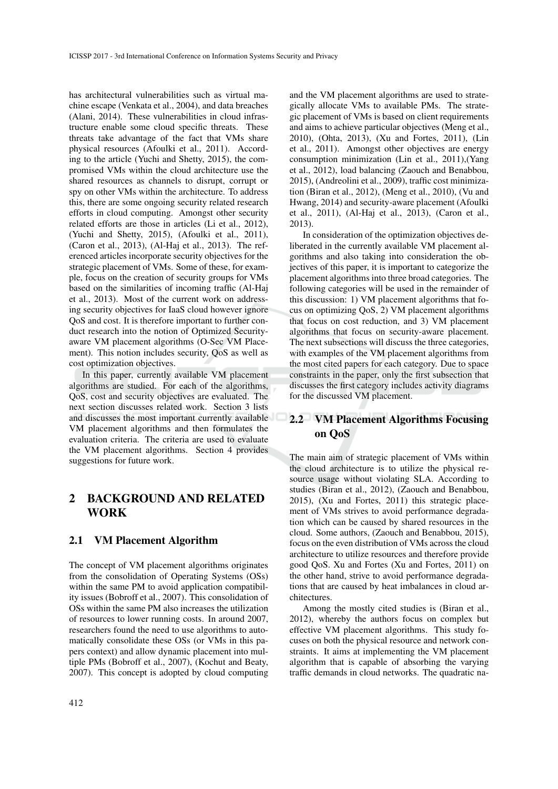has architectural vulnerabilities such as virtual machine escape (Venkata et al., 2004), and data breaches (Alani, 2014). These vulnerabilities in cloud infrastructure enable some cloud specific threats. These threats take advantage of the fact that VMs share physical resources (Afoulki et al., 2011). According to the article (Yuchi and Shetty, 2015), the compromised VMs within the cloud architecture use the shared resources as channels to disrupt, corrupt or spy on other VMs within the architecture. To address this, there are some ongoing security related research efforts in cloud computing. Amongst other security related efforts are those in articles (Li et al., 2012), (Yuchi and Shetty, 2015), (Afoulki et al., 2011), (Caron et al., 2013), (Al-Haj et al., 2013). The referenced articles incorporate security objectives for the strategic placement of VMs. Some of these, for example, focus on the creation of security groups for VMs based on the similarities of incoming traffic (Al-Haj et al., 2013). Most of the current work on addressing security objectives for IaaS cloud however ignore QoS and cost. It is therefore important to further conduct research into the notion of Optimized Securityaware VM placement algorithms (O-Sec VM Placement). This notion includes security, QoS as well as cost optimization objectives.

In this paper, currently available VM placement algorithms are studied. For each of the algorithms, QoS, cost and security objectives are evaluated. The next section discusses related work. Section 3 lists and discusses the most important currently available VM placement algorithms and then formulates the evaluation criteria. The criteria are used to evaluate the VM placement algorithms. Section 4 provides suggestions for future work.

# 2 BACKGROUND AND RELATED WORK

#### 2.1 VM Placement Algorithm

The concept of VM placement algorithms originates from the consolidation of Operating Systems (OSs) within the same PM to avoid application compatibility issues (Bobroff et al., 2007). This consolidation of OSs within the same PM also increases the utilization of resources to lower running costs. In around 2007, researchers found the need to use algorithms to automatically consolidate these OSs (or VMs in this papers context) and allow dynamic placement into multiple PMs (Bobroff et al., 2007), (Kochut and Beaty, 2007). This concept is adopted by cloud computing

and the VM placement algorithms are used to strategically allocate VMs to available PMs. The strategic placement of VMs is based on client requirements and aims to achieve particular objectives (Meng et al., 2010), (Ohta, 2013), (Xu and Fortes, 2011), (Lin et al., 2011). Amongst other objectives are energy consumption minimization (Lin et al., 2011),(Yang et al., 2012), load balancing (Zaouch and Benabbou, 2015), (Andreolini et al., 2009), traffic cost minimization (Biran et al., 2012), (Meng et al., 2010), (Vu and Hwang, 2014) and security-aware placement (Afoulki et al., 2011), (Al-Haj et al., 2013), (Caron et al., 2013).

In consideration of the optimization objectives deliberated in the currently available VM placement algorithms and also taking into consideration the objectives of this paper, it is important to categorize the placement algorithms into three broad categories. The following categories will be used in the remainder of this discussion: 1) VM placement algorithms that focus on optimizing QoS, 2) VM placement algorithms that focus on cost reduction, and 3) VM placement algorithms that focus on security-aware placement. The next subsections will discuss the three categories, with examples of the VM placement algorithms from the most cited papers for each category. Due to space constraints in the paper, only the first subsection that discusses the first category includes activity diagrams for the discussed VM placement.

## 2.2 VM Placement Algorithms Focusing on QoS

The main aim of strategic placement of VMs within the cloud architecture is to utilize the physical resource usage without violating SLA. According to studies (Biran et al., 2012), (Zaouch and Benabbou, 2015), (Xu and Fortes, 2011) this strategic placement of VMs strives to avoid performance degradation which can be caused by shared resources in the cloud. Some authors, (Zaouch and Benabbou, 2015), focus on the even distribution of VMs across the cloud architecture to utilize resources and therefore provide good QoS. Xu and Fortes (Xu and Fortes, 2011) on the other hand, strive to avoid performance degradations that are caused by heat imbalances in cloud architectures.

Among the mostly cited studies is (Biran et al., 2012), whereby the authors focus on complex but effective VM placement algorithms. This study focuses on both the physical resource and network constraints. It aims at implementing the VM placement algorithm that is capable of absorbing the varying traffic demands in cloud networks. The quadratic na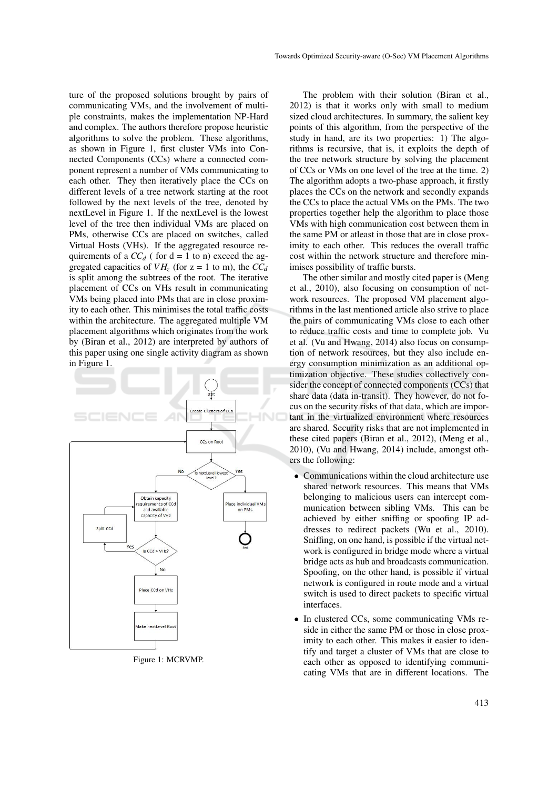ture of the proposed solutions brought by pairs of communicating VMs, and the involvement of multiple constraints, makes the implementation NP-Hard and complex. The authors therefore propose heuristic algorithms to solve the problem. These algorithms, as shown in Figure 1, first cluster VMs into Connected Components (CCs) where a connected component represent a number of VMs communicating to each other. They then iteratively place the CCs on different levels of a tree network starting at the root followed by the next levels of the tree, denoted by nextLevel in Figure 1. If the nextLevel is the lowest level of the tree then individual VMs are placed on PMs, otherwise CCs are placed on switches, called Virtual Hosts (VHs). If the aggregated resource requirements of a  $CC_d$  ( for  $d = 1$  to n) exceed the aggregated capacities of  $VH_z$  (for  $z = 1$  to m), the  $CC_d$ is split among the subtrees of the root. The iterative placement of CCs on VHs result in communicating VMs being placed into PMs that are in close proximity to each other. This minimises the total traffic costs within the architecture. The aggregated multiple VM placement algorithms which originates from the work by (Biran et al., 2012) are interpreted by authors of this paper using one single activity diagram as shown in Figure 1.



Figure 1: MCRVMP.

The problem with their solution (Biran et al., 2012) is that it works only with small to medium sized cloud architectures. In summary, the salient key points of this algorithm, from the perspective of the study in hand, are its two properties: 1) The algorithms is recursive, that is, it exploits the depth of the tree network structure by solving the placement of CCs or VMs on one level of the tree at the time. 2) The algorithm adopts a two-phase approach, it firstly places the CCs on the network and secondly expands the CCs to place the actual VMs on the PMs. The two properties together help the algorithm to place those VMs with high communication cost between them in the same PM or atleast in those that are in close proximity to each other. This reduces the overall traffic cost within the network structure and therefore minimises possibility of traffic bursts.

The other similar and mostly cited paper is (Meng et al., 2010), also focusing on consumption of network resources. The proposed VM placement algorithms in the last mentioned article also strive to place the pairs of communicating VMs close to each other to reduce traffic costs and time to complete job. Vu et al. (Vu and Hwang, 2014) also focus on consumption of network resources, but they also include energy consumption minimization as an additional optimization objective. These studies collectively consider the concept of connected components (CCs) that share data (data in-transit). They however, do not focus on the security risks of that data, which are important in the virtualized environment where resources are shared. Security risks that are not implemented in these cited papers (Biran et al., 2012), (Meng et al., 2010), (Vu and Hwang, 2014) include, amongst others the following:

- Communications within the cloud architecture use shared network resources. This means that VMs belonging to malicious users can intercept communication between sibling VMs. This can be achieved by either sniffing or spoofing IP addresses to redirect packets (Wu et al., 2010). Sniffing, on one hand, is possible if the virtual network is configured in bridge mode where a virtual bridge acts as hub and broadcasts communication. Spoofing, on the other hand, is possible if virtual network is configured in route mode and a virtual switch is used to direct packets to specific virtual interfaces.
- In clustered CCs, some communicating VMs reside in either the same PM or those in close proximity to each other. This makes it easier to identify and target a cluster of VMs that are close to each other as opposed to identifying communicating VMs that are in different locations. The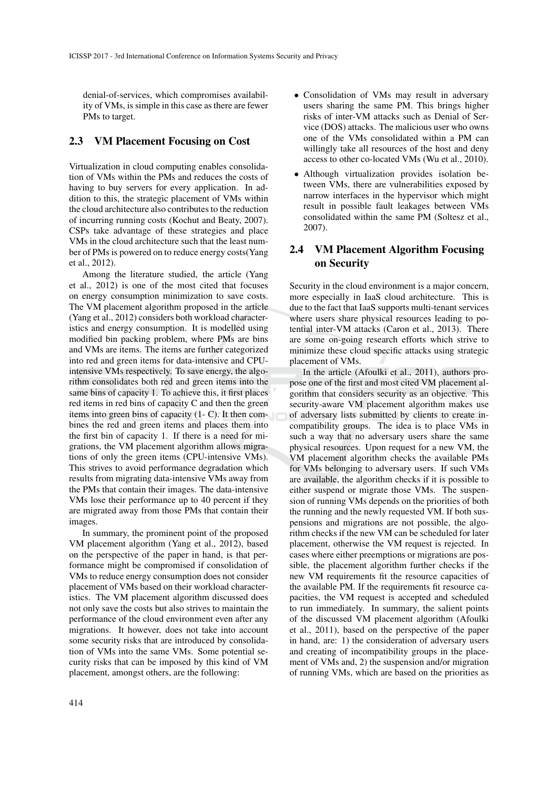denial-of-services, which compromises availability of VMs, is simple in this case as there are fewer PMs to target.

### 2.3 VM Placement Focusing on Cost

Virtualization in cloud computing enables consolidation of VMs within the PMs and reduces the costs of having to buy servers for every application. In addition to this, the strategic placement of VMs within the cloud architecture also contributes to the reduction of incurring running costs (Kochut and Beaty, 2007). CSPs take advantage of these strategies and place VMs in the cloud architecture such that the least number of PMs is powered on to reduce energy costs(Yang et al., 2012).

Among the literature studied, the article (Yang et al., 2012) is one of the most cited that focuses on energy consumption minimization to save costs. The VM placement algorithm proposed in the article (Yang et al., 2012) considers both workload characteristics and energy consumption. It is modelled using modified bin packing problem, where PMs are bins and VMs are items. The items are further categorized into red and green items for data-intensive and CPUintensive VMs respectively. To save energy, the algorithm consolidates both red and green items into the same bins of capacity 1. To achieve this, it first places red items in red bins of capacity C and then the green items into green bins of capacity (1- C). It then combines the red and green items and places them into the first bin of capacity 1. If there is a need for migrations, the VM placement algorithm allows migrations of only the green items (CPU-intensive VMs). This strives to avoid performance degradation which results from migrating data-intensive VMs away from the PMs that contain their images. The data-intensive VMs lose their performance up to 40 percent if they are migrated away from those PMs that contain their images.

In summary, the prominent point of the proposed VM placement algorithm (Yang et al., 2012), based on the perspective of the paper in hand, is that performance might be compromised if consolidation of VMs to reduce energy consumption does not consider placement of VMs based on their workload characteristics. The VM placement algorithm discussed does not only save the costs but also strives to maintain the performance of the cloud environment even after any migrations. It however, does not take into account some security risks that are introduced by consolidation of VMs into the same VMs. Some potential security risks that can be imposed by this kind of VM placement, amongst others, are the following:

- Consolidation of VMs may result in adversary users sharing the same PM. This brings higher risks of inter-VM attacks such as Denial of Service (DOS) attacks. The malicious user who owns one of the VMs consolidated within a PM can willingly take all resources of the host and deny access to other co-located VMs (Wu et al., 2010).
- Although virtualization provides isolation between VMs, there are vulnerabilities exposed by narrow interfaces in the hypervisor which might result in possible fault leakages between VMs consolidated within the same PM (Soltesz et al., 2007).

## 2.4 VM Placement Algorithm Focusing on Security

Security in the cloud environment is a major concern, more especially in IaaS cloud architecture. This is due to the fact that IaaS supports multi-tenant services where users share physical resources leading to potential inter-VM attacks (Caron et al., 2013). There are some on-going research efforts which strive to minimize these cloud specific attacks using strategic placement of VMs.

In the article (Afoulki et al., 2011), authors propose one of the first and most cited VM placement algorithm that considers security as an objective. This security-aware VM placement algorithm makes use of adversary lists submitted by clients to create incompatibility groups. The idea is to place VMs in such a way that no adversary users share the same physical resources. Upon request for a new VM, the VM placement algorithm checks the available PMs for VMs belonging to adversary users. If such VMs are available, the algorithm checks if it is possible to either suspend or migrate those VMs. The suspension of running VMs depends on the priorities of both the running and the newly requested VM. If both suspensions and migrations are not possible, the algorithm checks if the new VM can be scheduled for later placement, otherwise the VM request is rejected. In cases where either preemptions or migrations are possible, the placement algorithm further checks if the new VM requirements fit the resource capacities of the available PM. If the requirements fit resource capacities, the VM request is accepted and scheduled to run immediately. In summary, the salient points of the discussed VM placement algorithm (Afoulki et al., 2011), based on the perspective of the paper in hand, are: 1) the consideration of adversary users and creating of incompatibility groups in the placement of VMs and, 2) the suspension and/or migration of running VMs, which are based on the priorities as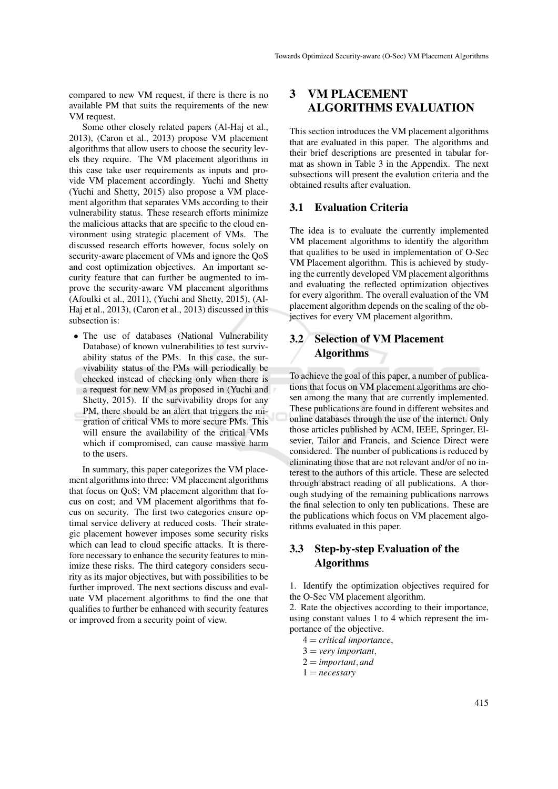compared to new VM request, if there is there is no available PM that suits the requirements of the new VM request.

Some other closely related papers (Al-Haj et al., 2013), (Caron et al., 2013) propose VM placement algorithms that allow users to choose the security levels they require. The VM placement algorithms in this case take user requirements as inputs and provide VM placement accordingly. Yuchi and Shetty (Yuchi and Shetty, 2015) also propose a VM placement algorithm that separates VMs according to their vulnerability status. These research efforts minimize the malicious attacks that are specific to the cloud environment using strategic placement of VMs. The discussed research efforts however, focus solely on security-aware placement of VMs and ignore the QoS and cost optimization objectives. An important security feature that can further be augmented to improve the security-aware VM placement algorithms (Afoulki et al., 2011), (Yuchi and Shetty, 2015), (Al-Haj et al., 2013), (Caron et al., 2013) discussed in this subsection is:

• The use of databases (National Vulnerability Database) of known vulnerabilities to test survivability status of the PMs. In this case, the survivability status of the PMs will periodically be checked instead of checking only when there is a request for new VM as proposed in (Yuchi and Shetty, 2015). If the survivability drops for any PM, there should be an alert that triggers the migration of critical VMs to more secure PMs. This will ensure the availability of the critical VMs which if compromised, can cause massive harm to the users.

In summary, this paper categorizes the VM placement algorithms into three: VM placement algorithms that focus on QoS; VM placement algorithm that focus on cost; and VM placement algorithms that focus on security. The first two categories ensure optimal service delivery at reduced costs. Their strategic placement however imposes some security risks which can lead to cloud specific attacks. It is therefore necessary to enhance the security features to minimize these risks. The third category considers security as its major objectives, but with possibilities to be further improved. The next sections discuss and evaluate VM placement algorithms to find the one that qualifies to further be enhanced with security features or improved from a security point of view.

## 3 VM PLACEMENT ALGORITHMS EVALUATION

This section introduces the VM placement algorithms that are evaluated in this paper. The algorithms and their brief descriptions are presented in tabular format as shown in Table 3 in the Appendix. The next subsections will present the evalution criteria and the obtained results after evaluation.

### 3.1 Evaluation Criteria

The idea is to evaluate the currently implemented VM placement algorithms to identify the algorithm that qualifies to be used in implementation of O-Sec VM Placement algorithm. This is achieved by studying the currently developed VM placement algorithms and evaluating the reflected optimization objectives for every algorithm. The overall evaluation of the VM placement algorithm depends on the scaling of the objectives for every VM placement algorithm.

## 3.2 Selection of VM Placement Algorithms

To achieve the goal of this paper, a number of publications that focus on VM placement algorithms are chosen among the many that are currently implemented. These publications are found in different websites and online databases through the use of the internet. Only those articles published by ACM, IEEE, Springer, Elsevier, Tailor and Francis, and Science Direct were considered. The number of publications is reduced by eliminating those that are not relevant and/or of no interest to the authors of this article. These are selected through abstract reading of all publications. A thorough studying of the remaining publications narrows the final selection to only ten publications. These are the publications which focus on VM placement algorithms evaluated in this paper.

## 3.3 Step-by-step Evaluation of the Algorithms

1. Identify the optimization objectives required for the O-Sec VM placement algorithm.

2. Rate the objectives according to their importance, using constant values 1 to 4 which represent the importance of the objective.

- 4 = *critical importance*,
- 3 = *very important*,
- 2 = *important*,*and*
- 1 = *necessary*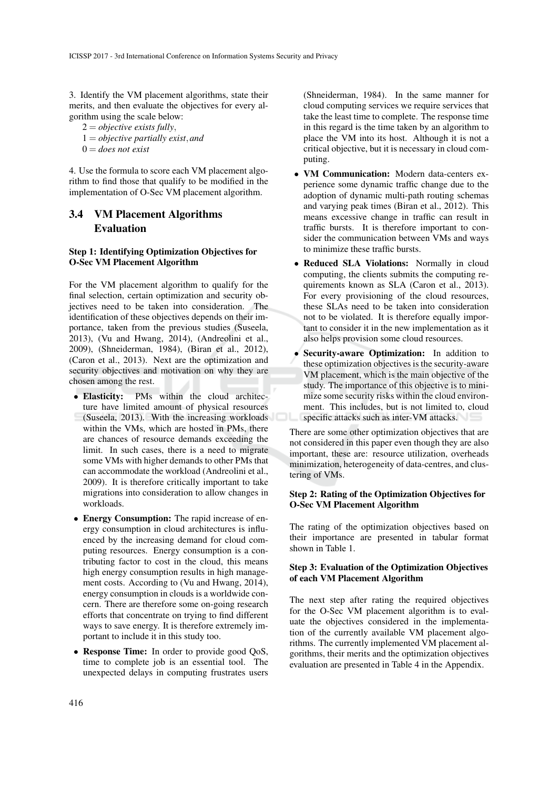3. Identify the VM placement algorithms, state their merits, and then evaluate the objectives for every algorithm using the scale below:

2 = *objective exists fully*, 1 = *objective partially exist*,*and* 0 = *does not exist*

4. Use the formula to score each VM placement algorithm to find those that qualify to be modified in the implementation of O-Sec VM placement algorithm.

## 3.4 VM Placement Algorithms Evaluation

#### Step 1: Identifying Optimization Objectives for O-Sec VM Placement Algorithm

For the VM placement algorithm to qualify for the final selection, certain optimization and security objectives need to be taken into consideration. The identification of these objectives depends on their importance, taken from the previous studies (Suseela, 2013), (Vu and Hwang, 2014), (Andreolini et al., 2009), (Shneiderman, 1984), (Biran et al., 2012), (Caron et al., 2013). Next are the optimization and security objectives and motivation on why they are chosen among the rest.

- Elasticity: PMs within the cloud architecture have limited amount of physical resources (Suseela, 2013). With the increasing workloads within the VMs, which are hosted in PMs, there are chances of resource demands exceeding the limit. In such cases, there is a need to migrate some VMs with higher demands to other PMs that can accommodate the workload (Andreolini et al., 2009). It is therefore critically important to take migrations into consideration to allow changes in workloads.
- Energy Consumption: The rapid increase of energy consumption in cloud architectures is influenced by the increasing demand for cloud computing resources. Energy consumption is a contributing factor to cost in the cloud, this means high energy consumption results in high management costs. According to (Vu and Hwang, 2014), energy consumption in clouds is a worldwide concern. There are therefore some on-going research efforts that concentrate on trying to find different ways to save energy. It is therefore extremely important to include it in this study too.
- Response Time: In order to provide good QoS, time to complete job is an essential tool. The unexpected delays in computing frustrates users

(Shneiderman, 1984). In the same manner for cloud computing services we require services that take the least time to complete. The response time in this regard is the time taken by an algorithm to place the VM into its host. Although it is not a critical objective, but it is necessary in cloud computing.

- VM Communication: Modern data-centers experience some dynamic traffic change due to the adoption of dynamic multi-path routing schemas and varying peak times (Biran et al., 2012). This means excessive change in traffic can result in traffic bursts. It is therefore important to consider the communication between VMs and ways to minimize these traffic bursts.
- Reduced SLA Violations: Normally in cloud computing, the clients submits the computing requirements known as SLA (Caron et al., 2013). For every provisioning of the cloud resources, these SLAs need to be taken into consideration not to be violated. It is therefore equally important to consider it in the new implementation as it also helps provision some cloud resources.
- Security-aware Optimization: In addition to these optimization objectives is the security-aware VM placement, which is the main objective of the study. The importance of this objective is to minimize some security risks within the cloud environment. This includes, but is not limited to, cloud specific attacks such as inter-VM attacks.

There are some other optimization objectives that are not considered in this paper even though they are also important, these are: resource utilization, overheads minimization, heterogeneity of data-centres, and clustering of VMs.

#### Step 2: Rating of the Optimization Objectives for O-Sec VM Placement Algorithm

The rating of the optimization objectives based on their importance are presented in tabular format shown in Table 1.

#### Step 3: Evaluation of the Optimization Objectives of each VM Placement Algorithm

The next step after rating the required objectives for the O-Sec VM placement algorithm is to evaluate the objectives considered in the implementation of the currently available VM placement algorithms. The currently implemented VM placement algorithms, their merits and the optimization objectives evaluation are presented in Table 4 in the Appendix.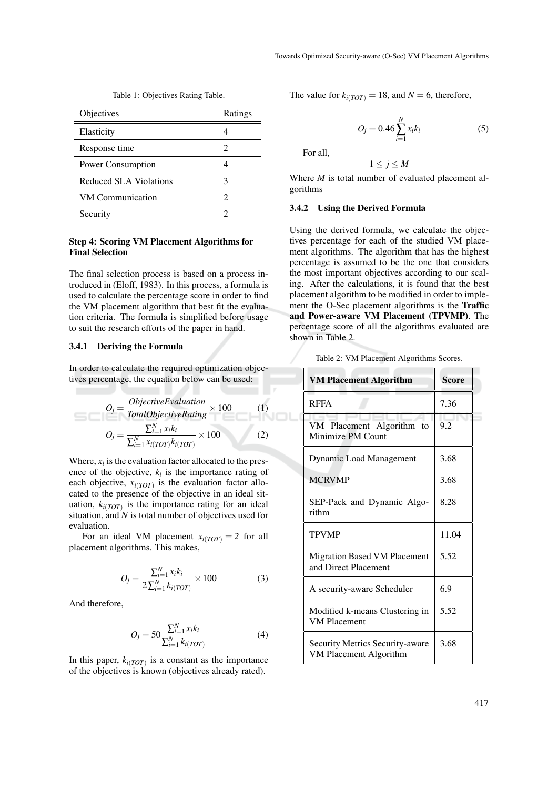| Objectives              | Ratings        |
|-------------------------|----------------|
| Elasticity              |                |
| Response time           | 2              |
| Power Consumption       |                |
| Reduced SLA Violations  | 3              |
| <b>VM</b> Communication | $\mathfrak{D}$ |
| Security                |                |

Table 1: Objectives Rating Table.

#### Step 4: Scoring VM Placement Algorithms for Final Selection

The final selection process is based on a process introduced in (Eloff, 1983). In this process, a formula is used to calculate the percentage score in order to find the VM placement algorithm that best fit the evaluation criteria. The formula is simplified before usage to suit the research efforts of the paper in hand.

#### 3.4.1 Deriving the Formula

In order to calculate the required optimization objectives percentage, the equation below can be used:

$$
O_j = \frac{ObjectiveEvaluation}{TotalObjectiveRating} \times 100 \qquad (1)
$$

$$
O_j = \frac{\sum_{i=1}^{N} x_i k_i}{\sum_{i=1}^{N} x_i (TOT)} \times 100 \qquad (2)
$$

Where,  $x_i$  is the evaluation factor allocated to the presence of the objective,  $k_i$  is the importance rating of each objective,  $x_i(TOT)$  is the evaluation factor allocated to the presence of the objective in an ideal situation,  $k_{i(TOT)}$  is the importance rating for an ideal situation, and *N* is total number of objectives used for evaluation.

For an ideal VM placement  $x_i(TOT) = 2$  for all placement algorithms. This makes,

$$
O_j = \frac{\sum_{i=1}^{N} x_i k_i}{2\sum_{i=1}^{N} k_i (TOT)} \times 100
$$
 (3)

And therefore,

$$
O_j = 50 \frac{\sum_{i=1}^{N} x_i k_i}{\sum_{i=1}^{N} k_i(\text{TOT})}
$$
(4)

In this paper,  $k_{i(TOT)}$  is a constant as the importance of the objectives is known (objectives already rated).

The value for  $k_{i(TOT)} = 18$ , and  $N = 6$ , therefore,

$$
O_j = 0.46 \sum_{i=1}^{N} x_i k_i
$$
 (5)

For all,

 $1 \leq j \leq M$ 

Where *M* is total number of evaluated placement algorithms

#### 3.4.2 Using the Derived Formula

Using the derived formula, we calculate the objectives percentage for each of the studied VM placement algorithms. The algorithm that has the highest percentage is assumed to be the one that considers the most important objectives according to our scaling. After the calculations, it is found that the best placement algorithm to be modified in order to implement the O-Sec placement algorithms is the Traffic and Power-aware VM Placement (TPVMP). The percentage score of all the algorithms evaluated are shown in Table 2.

Table 2: VM Placement Algorithms Scores.

| <b>VM Placement Algorithm</b>                             | Score |
|-----------------------------------------------------------|-------|
| <b>RFFA</b>                                               | 7.36  |
| VM Placement Algorithm<br>to<br>Minimize PM Count         | 9.2   |
| <b>Dynamic Load Management</b>                            | 3.68  |
| <b>MCRVMP</b>                                             | 3.68  |
| SEP-Pack and Dynamic Algo-<br>rithm                       | 8.28  |
| <b>TPVMP</b>                                              | 11.04 |
| Migration Based VM Placement<br>and Direct Placement      | 5.52  |
| A security-aware Scheduler                                | 6.9   |
| Modified k-means Clustering in<br><b>VM Placement</b>     | 5.52  |
| Security Metrics Security-aware<br>VM Placement Algorithm | 3.68  |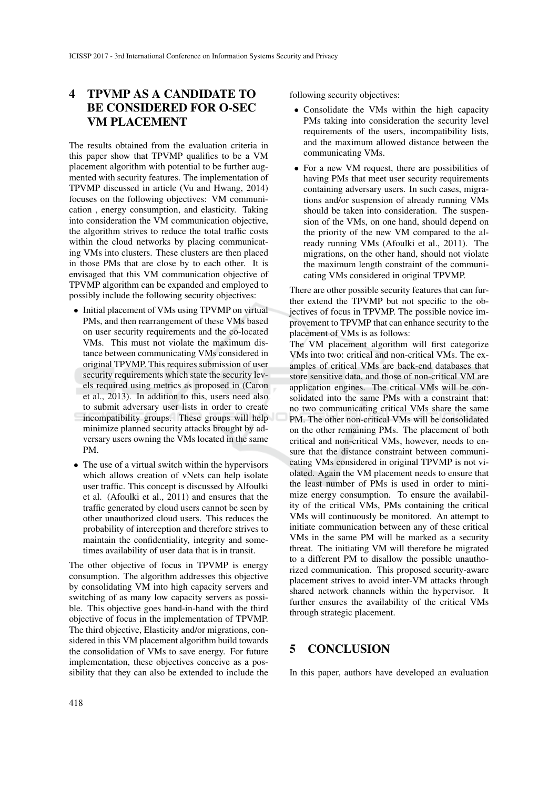# 4 TPVMP AS A CANDIDATE TO BE CONSIDERED FOR O-SEC VM PLACEMENT

The results obtained from the evaluation criteria in this paper show that TPVMP qualifies to be a VM placement algorithm with potential to be further augmented with security features. The implementation of TPVMP discussed in article (Vu and Hwang, 2014) focuses on the following objectives: VM communication , energy consumption, and elasticity. Taking into consideration the VM communication objective, the algorithm strives to reduce the total traffic costs within the cloud networks by placing communicating VMs into clusters. These clusters are then placed in those PMs that are close by to each other. It is envisaged that this VM communication objective of TPVMP algorithm can be expanded and employed to possibly include the following security objectives:

- Initial placement of VMs using TPVMP on virtual PMs, and then rearrangement of these VMs based on user security requirements and the co-located VMs. This must not violate the maximum distance between communicating VMs considered in original TPVMP. This requires submission of user security requirements which state the security levels required using metrics as proposed in (Caron et al., 2013). In addition to this, users need also to submit adversary user lists in order to create incompatibility groups. These groups will help minimize planned security attacks brought by adversary users owning the VMs located in the same PM.
- The use of a virtual switch within the hypervisors which allows creation of vNets can help isolate user traffic. This concept is discussed by Alfoulki et al. (Afoulki et al., 2011) and ensures that the traffic generated by cloud users cannot be seen by other unauthorized cloud users. This reduces the probability of interception and therefore strives to maintain the confidentiality, integrity and sometimes availability of user data that is in transit.

The other objective of focus in TPVMP is energy consumption. The algorithm addresses this objective by consolidating VM into high capacity servers and switching of as many low capacity servers as possible. This objective goes hand-in-hand with the third objective of focus in the implementation of TPVMP. The third objective, Elasticity and/or migrations, considered in this VM placement algorithm build towards the consolidation of VMs to save energy. For future implementation, these objectives conceive as a possibility that they can also be extended to include the following security objectives:

- Consolidate the VMs within the high capacity PMs taking into consideration the security level requirements of the users, incompatibility lists, and the maximum allowed distance between the communicating VMs.
- For a new VM request, there are possibilities of having PMs that meet user security requirements containing adversary users. In such cases, migrations and/or suspension of already running VMs should be taken into consideration. The suspension of the VMs, on one hand, should depend on the priority of the new VM compared to the already running VMs (Afoulki et al., 2011). The migrations, on the other hand, should not violate the maximum length constraint of the communicating VMs considered in original TPVMP.

There are other possible security features that can further extend the TPVMP but not specific to the objectives of focus in TPVMP. The possible novice improvement to TPVMP that can enhance security to the placement of VMs is as follows:

The VM placement algorithm will first categorize VMs into two: critical and non-critical VMs. The examples of critical VMs are back-end databases that store sensitive data, and those of non-critical VM are application engines. The critical VMs will be consolidated into the same PMs with a constraint that: no two communicating critical VMs share the same PM. The other non-critical VMs will be consolidated on the other remaining PMs. The placement of both critical and non-critical VMs, however, needs to ensure that the distance constraint between communicating VMs considered in original TPVMP is not violated. Again the VM placement needs to ensure that the least number of PMs is used in order to minimize energy consumption. To ensure the availability of the critical VMs, PMs containing the critical VMs will continuously be monitored. An attempt to initiate communication between any of these critical VMs in the same PM will be marked as a security threat. The initiating VM will therefore be migrated to a different PM to disallow the possible unauthorized communication. This proposed security-aware placement strives to avoid inter-VM attacks through shared network channels within the hypervisor. It further ensures the availability of the critical VMs through strategic placement.

### 5 CONCLUSION

In this paper, authors have developed an evaluation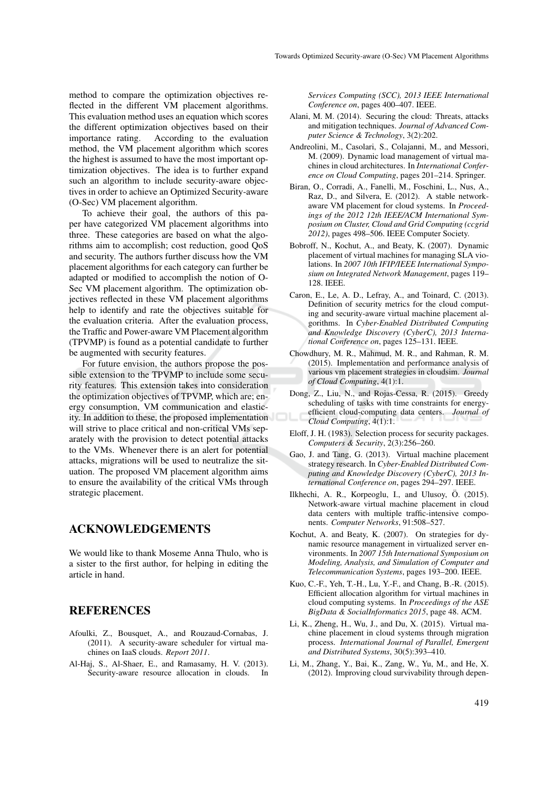method to compare the optimization objectives reflected in the different VM placement algorithms. This evaluation method uses an equation which scores the different optimization objectives based on their importance rating. According to the evaluation method, the VM placement algorithm which scores the highest is assumed to have the most important optimization objectives. The idea is to further expand such an algorithm to include security-aware objectives in order to achieve an Optimized Security-aware (O-Sec) VM placement algorithm.

To achieve their goal, the authors of this paper have categorized VM placement algorithms into three. These categories are based on what the algorithms aim to accomplish; cost reduction, good QoS and security. The authors further discuss how the VM placement algorithms for each category can further be adapted or modified to accomplish the notion of O-Sec VM placement algorithm. The optimization objectives reflected in these VM placement algorithms help to identify and rate the objectives suitable for the evaluation criteria. After the evaluation process, the Traffic and Power-aware VM Placement algorithm (TPVMP) is found as a potential candidate to further be augmented with security features.

For future envision, the authors propose the possible extension to the TPVMP to include some security features. This extension takes into consideration the optimization objectives of TPVMP, which are; energy consumption, VM communication and elasticity. In addition to these, the proposed implementation will strive to place critical and non-critical VMs separately with the provision to detect potential attacks to the VMs. Whenever there is an alert for potential attacks, migrations will be used to neutralize the situation. The proposed VM placement algorithm aims to ensure the availability of the critical VMs through strategic placement.

## ACKNOWLEDGEMENTS

We would like to thank Moseme Anna Thulo, who is a sister to the first author, for helping in editing the article in hand.

### **REFERENCES**

- Afoulki, Z., Bousquet, A., and Rouzaud-Cornabas, J. (2011). A security-aware scheduler for virtual machines on IaaS clouds. *Report 2011*.
- Al-Haj, S., Al-Shaer, E., and Ramasamy, H. V. (2013). Security-aware resource allocation in clouds. In

*Services Computing (SCC), 2013 IEEE International Conference on*, pages 400–407. IEEE.

- Alani, M. M. (2014). Securing the cloud: Threats, attacks and mitigation techniques. *Journal of Advanced Computer Science & Technology*, 3(2):202.
- Andreolini, M., Casolari, S., Colajanni, M., and Messori, M. (2009). Dynamic load management of virtual machines in cloud architectures. In *International Conference on Cloud Computing*, pages 201–214. Springer.
- Biran, O., Corradi, A., Fanelli, M., Foschini, L., Nus, A., Raz, D., and Silvera, E. (2012). A stable networkaware VM placement for cloud systems. In *Proceedings of the 2012 12th IEEE/ACM International Symposium on Cluster, Cloud and Grid Computing (ccgrid 2012)*, pages 498–506. IEEE Computer Society.
- Bobroff, N., Kochut, A., and Beaty, K. (2007). Dynamic placement of virtual machines for managing SLA violations. In *2007 10th IFIP/IEEE International Symposium on Integrated Network Management*, pages 119– 128. IEEE.
- Caron, E., Le, A. D., Lefray, A., and Toinard, C. (2013). Definition of security metrics for the cloud computing and security-aware virtual machine placement algorithms. In *Cyber-Enabled Distributed Computing and Knowledge Discovery (CyberC), 2013 International Conference on*, pages 125–131. IEEE.
- Chowdhury, M. R., Mahmud, M. R., and Rahman, R. M. (2015). Implementation and performance analysis of various vm placement strategies in cloudsim. *Journal of Cloud Computing*, 4(1):1.
- Dong, Z., Liu, N., and Rojas-Cessa, R. (2015). Greedy scheduling of tasks with time constraints for energyefficient cloud-computing data centers. *Journal of Cloud Computing*, 4(1):1.
- Eloff, J. H. (1983). Selection process for security packages. *Computers & Security*, 2(3):256–260.
- Gao, J. and Tang, G. (2013). Virtual machine placement strategy research. In *Cyber-Enabled Distributed Computing and Knowledge Discovery (CyberC), 2013 International Conference on*, pages 294–297. IEEE.
- Ilkhechi, A. R., Korpeoglu, I., and Ulusoy,  $\ddot{O}$ . (2015). Network-aware virtual machine placement in cloud data centers with multiple traffic-intensive components. *Computer Networks*, 91:508–527.
- Kochut, A. and Beaty, K. (2007). On strategies for dynamic resource management in virtualized server environments. In *2007 15th International Symposium on Modeling, Analysis, and Simulation of Computer and Telecommunication Systems*, pages 193–200. IEEE.
- Kuo, C.-F., Yeh, T.-H., Lu, Y.-F., and Chang, B.-R. (2015). Efficient allocation algorithm for virtual machines in cloud computing systems. In *Proceedings of the ASE BigData & SocialInformatics 2015*, page 48. ACM.
- Li, K., Zheng, H., Wu, J., and Du, X. (2015). Virtual machine placement in cloud systems through migration process. *International Journal of Parallel, Emergent and Distributed Systems*, 30(5):393–410.
- Li, M., Zhang, Y., Bai, K., Zang, W., Yu, M., and He, X. (2012). Improving cloud survivability through depen-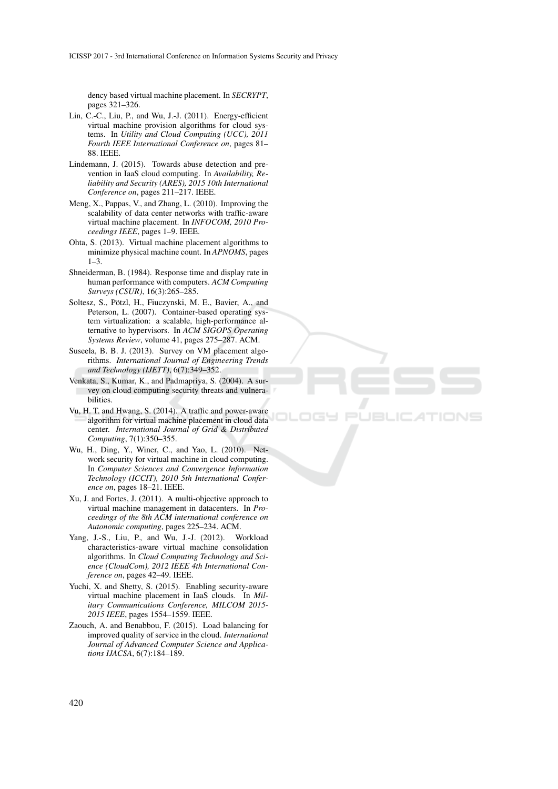dency based virtual machine placement. In *SECRYPT*, pages 321–326.

- Lin, C.-C., Liu, P., and Wu, J.-J. (2011). Energy-efficient virtual machine provision algorithms for cloud systems. In *Utility and Cloud Computing (UCC), 2011 Fourth IEEE International Conference on*, pages 81– 88. IEEE.
- Lindemann, J. (2015). Towards abuse detection and prevention in IaaS cloud computing. In *Availability, Reliability and Security (ARES), 2015 10th International Conference on*, pages 211–217. IEEE.
- Meng, X., Pappas, V., and Zhang, L. (2010). Improving the scalability of data center networks with traffic-aware virtual machine placement. In *INFOCOM, 2010 Proceedings IEEE*, pages 1–9. IEEE.
- Ohta, S. (2013). Virtual machine placement algorithms to minimize physical machine count. In *APNOMS*, pages  $1-3$ .
- Shneiderman, B. (1984). Response time and display rate in human performance with computers. *ACM Computing Surveys (CSUR)*, 16(3):265–285.
- Soltesz, S., Pötzl, H., Fiuczynski, M. E., Bavier, A., and Peterson, L. (2007). Container-based operating system virtualization: a scalable, high-performance alternative to hypervisors. In *ACM SIGOPS Operating Systems Review*, volume 41, pages 275–287. ACM.
- Suseela, B. B. J. (2013). Survey on VM placement algorithms. *International Journal of Engineering Trends and Technology (IJETT)*, 6(7):349–352.
- Venkata, S., Kumar, K., and Padmapriya, S. (2004). A survey on cloud computing security threats and vulnerabilities.
- Vu, H. T. and Hwang, S. (2014). A traffic and power-aware algorithm for virtual machine placement in cloud data center. *International Journal of Grid & Distributed Computing*, 7(1):350–355.
- Wu, H., Ding, Y., Winer, C., and Yao, L. (2010). Network security for virtual machine in cloud computing. In *Computer Sciences and Convergence Information Technology (ICCIT), 2010 5th International Conference on*, pages 18–21. IEEE.
- Xu, J. and Fortes, J. (2011). A multi-objective approach to virtual machine management in datacenters. In *Proceedings of the 8th ACM international conference on Autonomic computing*, pages 225–234. ACM.
- Yang, J.-S., Liu, P., and Wu, J.-J. (2012). Workload characteristics-aware virtual machine consolidation algorithms. In *Cloud Computing Technology and Science (CloudCom), 2012 IEEE 4th International Conference on*, pages 42–49. IEEE.
- Yuchi, X. and Shetty, S. (2015). Enabling security-aware virtual machine placement in IaaS clouds. In *Military Communications Conference, MILCOM 2015- 2015 IEEE*, pages 1554–1559. IEEE.
- Zaouch, A. and Benabbou, F. (2015). Load balancing for improved quality of service in the cloud. *International Journal of Advanced Computer Science and Applications IJACSA*, 6(7):184–189.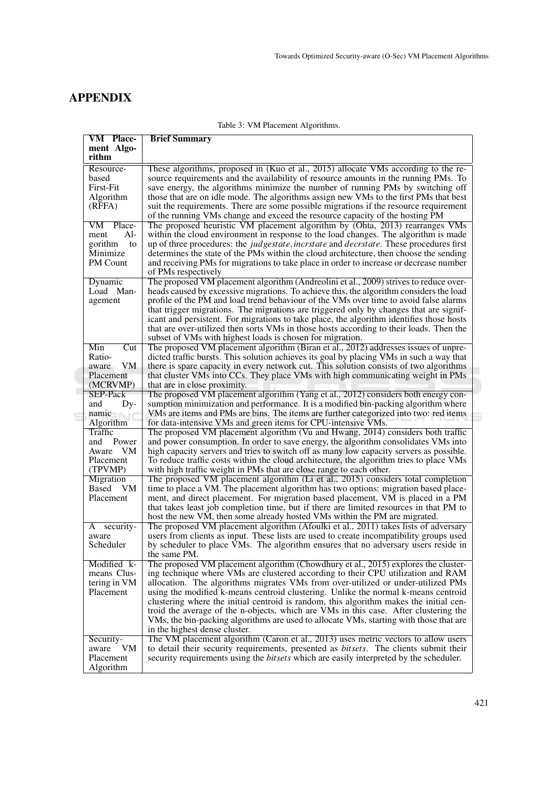# APPENDIX

| <b>VM Place-</b><br><b>Brief Summary</b> |                                                                                                                                                                                                       |  |  |
|------------------------------------------|-------------------------------------------------------------------------------------------------------------------------------------------------------------------------------------------------------|--|--|
| ment Algo-                               |                                                                                                                                                                                                       |  |  |
| rithm                                    |                                                                                                                                                                                                       |  |  |
| Resource-                                | These algorithms, proposed in (Kuo et al., 2015) allocate VMs according to the re-                                                                                                                    |  |  |
| based                                    | source requirements and the availability of resource amounts in the running PMs. To                                                                                                                   |  |  |
| <b>First-Fit</b>                         | save energy, the algorithms minimize the number of running PMs by switching off                                                                                                                       |  |  |
| Algorithm                                | those that are on idle mode. The algorithms assign new VMs to the first PMs that best                                                                                                                 |  |  |
| (RFFA)                                   | suit the requirements. There are some possible migrations if the resource requirement                                                                                                                 |  |  |
|                                          | of the running VMs change and exceed the resource capacity of the hosting PM                                                                                                                          |  |  |
| VM Place-                                | The proposed heuristic VM placement algorithm by (Ohta, 2013) rearranges VMs                                                                                                                          |  |  |
| $Al-$<br>ment<br>gorithm<br>to           | within the cloud environment in response to the load changes. The algorithm is made<br>up of three procedures: the <i>judgestate</i> , <i>incritate</i> and <i>decritate</i> . These procedures first |  |  |
| Minimize                                 | determines the state of the PMs within the cloud architecture, then choose the sending                                                                                                                |  |  |
| <b>PM</b> Count                          | and receiving PMs for migrations to take place in order to increase or decrease number                                                                                                                |  |  |
|                                          | of PMs respectively                                                                                                                                                                                   |  |  |
| Dynamic                                  | The proposed VM placement algorithm (Andreolini et al., 2009) strives to reduce over-                                                                                                                 |  |  |
| Load Man-                                | heads caused by excessive migrations. To achieve this, the algorithm considers the load                                                                                                               |  |  |
| agement                                  | profile of the PM and load trend behaviour of the VMs over time to avoid false alarms                                                                                                                 |  |  |
|                                          | that trigger migrations. The migrations are triggered only by changes that are signif-                                                                                                                |  |  |
|                                          | icant and persistent. For migrations to take place, the algorithm identifies those hosts                                                                                                              |  |  |
|                                          | that are over-utilized then sorts VMs in those hosts according to their loads. Then the                                                                                                               |  |  |
|                                          | subset of VMs with highest loads is chosen for migration.                                                                                                                                             |  |  |
| Min<br>Cut                               | The proposed VM placement algorithm (Biran et al., 2012) addresses issues of unpre-                                                                                                                   |  |  |
| Ratio-                                   | dicted traffic bursts. This solution achieves its goal by placing VMs in such a way that                                                                                                              |  |  |
| VM<br>aware                              | there is spare capacity in every network cut. This solution consists of two algorithms                                                                                                                |  |  |
| Placement                                | that cluster VMs into CCs. They place VMs with high communicating weight in PMs                                                                                                                       |  |  |
| (MCRVMP)<br>SEP-Pack                     | that are in close proximity.<br>The proposed VM placement algorithm (Yang et al., 2012) considers both energy con-                                                                                    |  |  |
| Dy-<br>and                               | sumption minimization and performance. It is a modified bin-packing algorithm where                                                                                                                   |  |  |
| namic                                    | VMs are items and PMs are bins. The items are further categorized into two: red items                                                                                                                 |  |  |
| Algorithm                                | for data-intensive VMs and green items for CPU-intensive VMs.                                                                                                                                         |  |  |
| Traffic                                  | The proposed VM placement algorithm (Vu and Hwang, 2014) considers both traffic                                                                                                                       |  |  |
| and Power                                | and power consumption. In order to save energy, the algorithm consolidates VMs into                                                                                                                   |  |  |
| Aware VM                                 | high capacity servers and tries to switch off as many low capacity servers as possible.                                                                                                               |  |  |
| Placement                                | To reduce traffic costs within the cloud architecture, the algorithm tries to place VMs                                                                                                               |  |  |
| (TPVMP)                                  | with high traffic weight in PMs that are close range to each other.                                                                                                                                   |  |  |
| Migration                                | The proposed VM placement algorithm (Li et al., 2015) considers total completion                                                                                                                      |  |  |
| Based VM                                 | time to place a VM. The placement algorithm has two options: migration based place-                                                                                                                   |  |  |
| Placement                                | ment, and direct placement. For migration based placement, VM is placed in a PM<br>that takes least job completion time, but if there are limited resources in that PM to                             |  |  |
|                                          | host the new VM, then some already hosted VMs within the PM are migrated.                                                                                                                             |  |  |
| security-<br>A                           | The proposed VM placement algorithm (Afoulki et al., 2011) takes lists of adversary                                                                                                                   |  |  |
| aware                                    | users from clients as input. These lists are used to create incompatibility groups used                                                                                                               |  |  |
| Scheduler                                | by scheduler to place VMs. The algorithm ensures that no adversary users reside in                                                                                                                    |  |  |
|                                          | the same PM.                                                                                                                                                                                          |  |  |
| Modified k-                              | The proposed VM placement algorithm (Chowdhury et al., 2015) explores the cluster-                                                                                                                    |  |  |
| means Clus-                              | ing technique where VMs are clustered according to their CPU utilization and RAM                                                                                                                      |  |  |
| tering in VM                             | allocation. The algorithms migrates VMs from over-utilized or under-utilized PMs                                                                                                                      |  |  |
| Placement                                | using the modified k-means centroid clustering. Unlike the normal k-means centroid                                                                                                                    |  |  |
|                                          | clustering where the initial centroid is random, this algorithm makes the initial cen-                                                                                                                |  |  |
|                                          | troid the average of the n-objects, which are VMs in this case. After clustering the                                                                                                                  |  |  |
|                                          | VMs, the bin-packing algorithms are used to allocate VMs, starting with those that are                                                                                                                |  |  |
|                                          | in the highest dense cluster.<br>The VM placement algorithm (Caron et al., 2013) uses metric vectors to allow users                                                                                   |  |  |
| Security-<br>VM<br>aware                 | to detail their security requirements, presented as <i>bitsets</i> . The clients submit their                                                                                                         |  |  |
| Placement                                | security requirements using the <i>bitsets</i> which are easily interpreted by the scheduler.                                                                                                         |  |  |
| Algorithm                                |                                                                                                                                                                                                       |  |  |